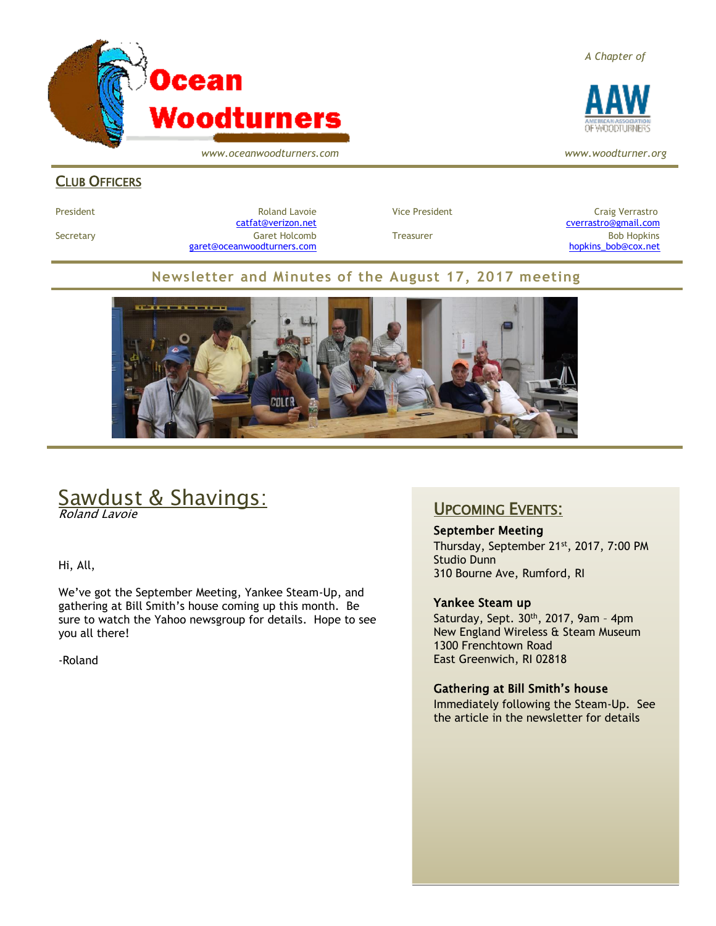

*www.oceanwoodturners.com*

#### **CLUB OFFICERS**

Secretary Garet Holcomb Treasurer Bob Hopkins [garet@oceanwoodturners.com](mailto:garet@oceanwoodturners.com) example and the state of the state of the [hopkins\\_bob@cox.net](mailto:hopkins_bob@cox.net)

President **Roland Lavoie** President Craig Verrastro Craig Verrastro Roland Lavoie **Vice President** Craig Verrastro [catfat@verizon.net](file:///C:/Users/OTEC/Desktop/OW/catfat@verizon.net) [cverrastro@gmail.com](mailto:cverrastro@gmail.com)

#### **Newsletter and Minutes of the August 17, 2017 meeting**



# Sawdust & Shavings:

Roland Lavoie

Hi, All,

We've got the September Meeting, Yankee Steam-Up, and gathering at Bill Smith's house coming up this month. Be sure to watch the Yahoo newsgroup for details. Hope to see you all there!

-Roland

#### UPCOMING EVENTS:

September Meeting

Thursday, September 21<sup>st</sup>, 2017, 7:00 PM Studio Dunn 310 Bourne Ave, Rumford, RI

#### Yankee Steam up

Saturday, Sept.  $30<sup>th</sup>$ , 2017, 9am - 4pm New England Wireless & Steam Museum 1300 Frenchtown Road East Greenwich, RI 02818

#### Gathering at Bill Smith's house

Immediately following the Steam-Up. See the article in the newsletter for details

*A Chapter of*



*www.woodturner.org*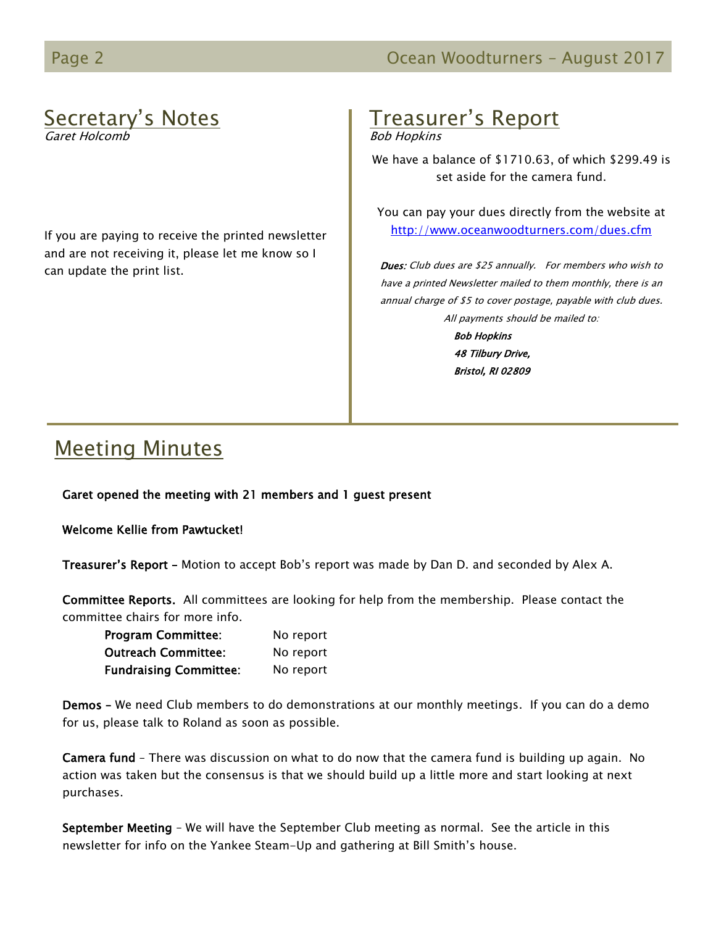# Secretary's Notes

Garet Holcomb

If you are paying to receive the printed newsletter and are not receiving it, please let me know so I can update the print list.

# Treasurer's Report

Bob Hopkins

We have a balance of \$1710.63, of which \$299.49 is set aside for the camera fund.

You can pay your dues directly from the website at <http://www.oceanwoodturners.com/dues.cfm>

Dues: Club dues are \$25 annually. For members who wish to have a printed Newsletter mailed to them monthly, there is an annual charge of \$5 to cover postage, payable with club dues. All payments should be mailed to:

> Bob Hopkins 48 Tilbury Drive, Bristol, RI 02809

# Meeting Minutes

Garet opened the meeting with 21 members and 1 guest present

Welcome Kellie from Pawtucket!

Treasurer's Report - Motion to accept Bob's report was made by Dan D. and seconded by Alex A.

Committee Reports. All committees are looking for help from the membership. Please contact the committee chairs for more info.

| <b>Program Committee:</b>     | No report |
|-------------------------------|-----------|
| <b>Outreach Committee:</b>    | No report |
| <b>Fundraising Committee:</b> | No report |

Demos – We need Club members to do demonstrations at our monthly meetings. If you can do a demo for us, please talk to Roland as soon as possible.

Camera fund – There was discussion on what to do now that the camera fund is building up again. No action was taken but the consensus is that we should build up a little more and start looking at next purchases.

September Meeting - We will have the September Club meeting as normal. See the article in this newsletter for info on the Yankee Steam-Up and gathering at Bill Smith's house.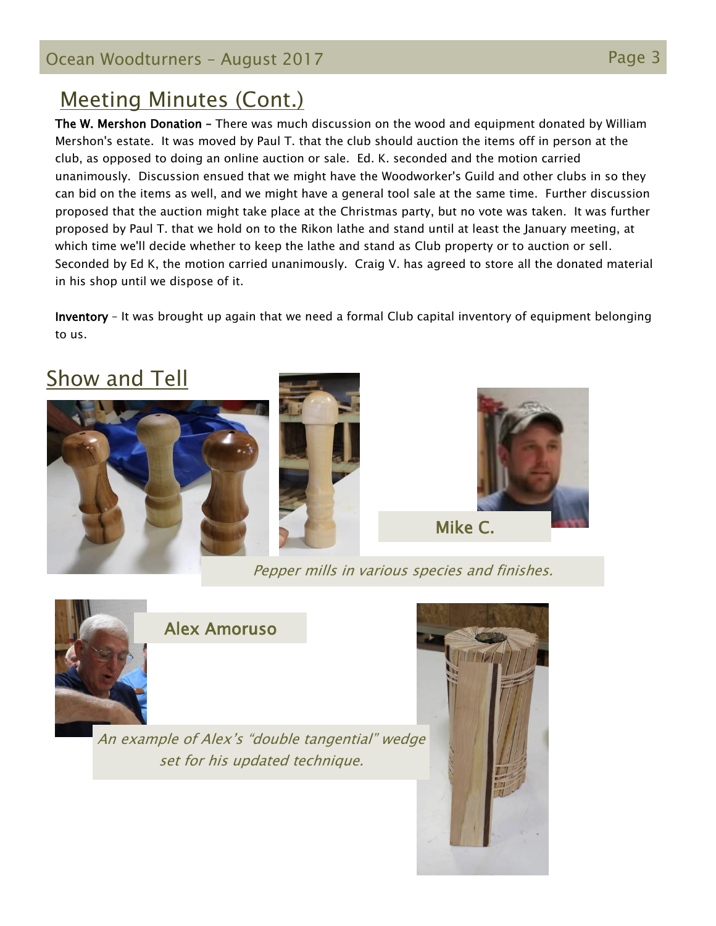# Meeting Minutes (Cont.)

The W. Mershon Donation – There was much discussion on the wood and equipment donated by William Mershon's estate. It was moved by Paul T. that the club should auction the items off in person at the club, as opposed to doing an online auction or sale. Ed. K. seconded and the motion carried unanimously. Discussion ensued that we might have the Woodworker's Guild and other clubs in so they can bid on the items as well, and we might have a general tool sale at the same time. Further discussion proposed that the auction might take place at the Christmas party, but no vote was taken. It was further proposed by Paul T. that we hold on to the Rikon lathe and stand until at least the January meeting, at which time we'll decide whether to keep the lathe and stand as Club property or to auction or sell. Seconded by Ed K, the motion carried unanimously. Craig V. has agreed to store all the donated material in his shop until we dispose of it.

Inventory – It was brought up again that we need a formal Club capital inventory of equipment belonging to us.

# **Show and Tell**







Pepper mills in various species and finishes.



## Alex Amoruso

An example of Alex's "double tangential" wedge set for his updated technique.

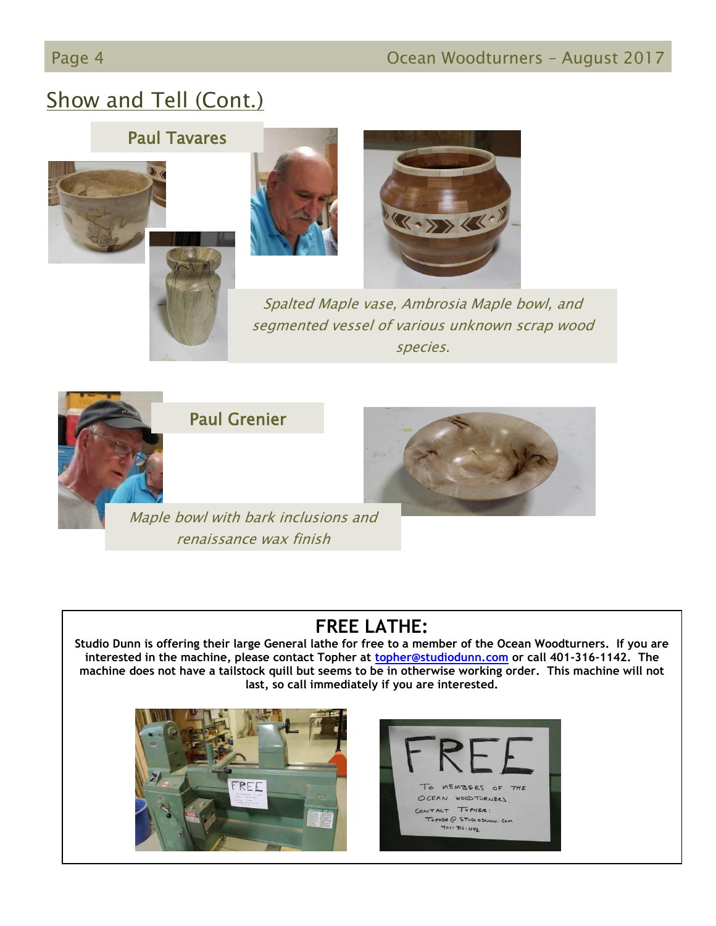# Show and Tell (Cont.)

## Paul Tavares









Spalted Maple vase, Ambrosia Maple bowl, and segmented vessel of various unknown scrap wood species.



Paul Grenier



Maple bowl with bark inclusions and renaissance wax finish

## **FREE LATHE:**

**Studio Dunn is offering their large General lathe for free to a member of the Ocean Woodturners. If you are interested in the machine, please contact Topher at [topher@studiodunn.com](mailto:topher@studiodunn.com) or call 401-316-1142. The machine does not have a tailstock quill but seems to be in otherwise working order. This machine will not last, so call immediately if you are interested.**



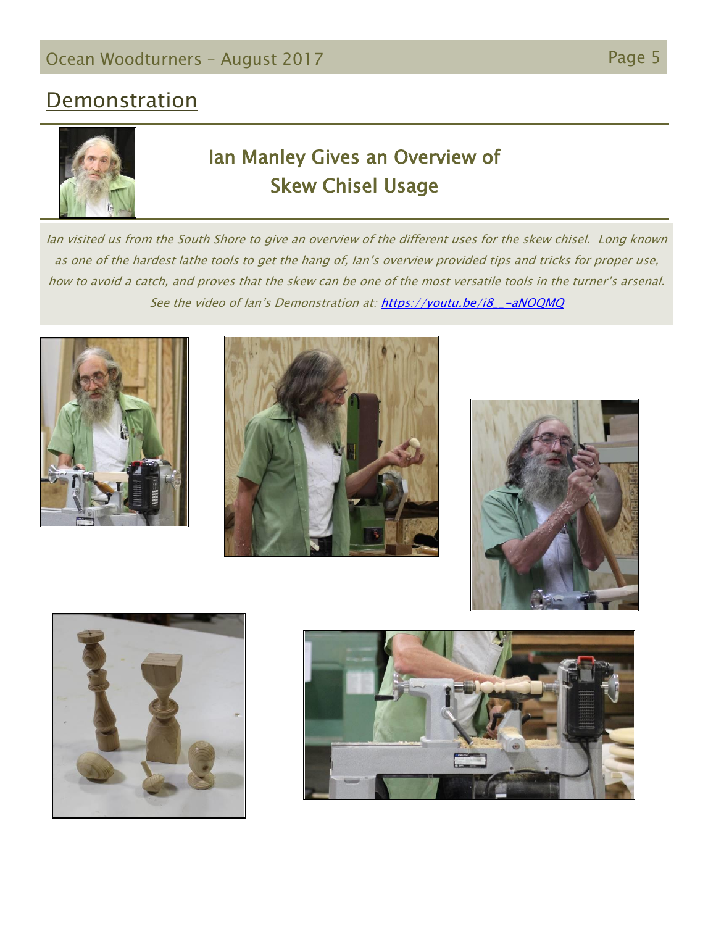# **Demonstration**



# Ian Manley Gives an Overview of Skew Chisel Usage

Ian visited us from the South Shore to give an overview of the different uses for the skew chisel. Long known as one of the hardest lathe tools to get the hang of, Ian's overview provided tips and tricks for proper use, how to avoid a catch, and proves that the skew can be one of the most versatile tools in the turner's arsenal. See the video of Ian's Demonstration at: [https://youtu.be/i8\\_\\_-aNOQMQ](https://youtu.be/i8__-aNOQMQ)